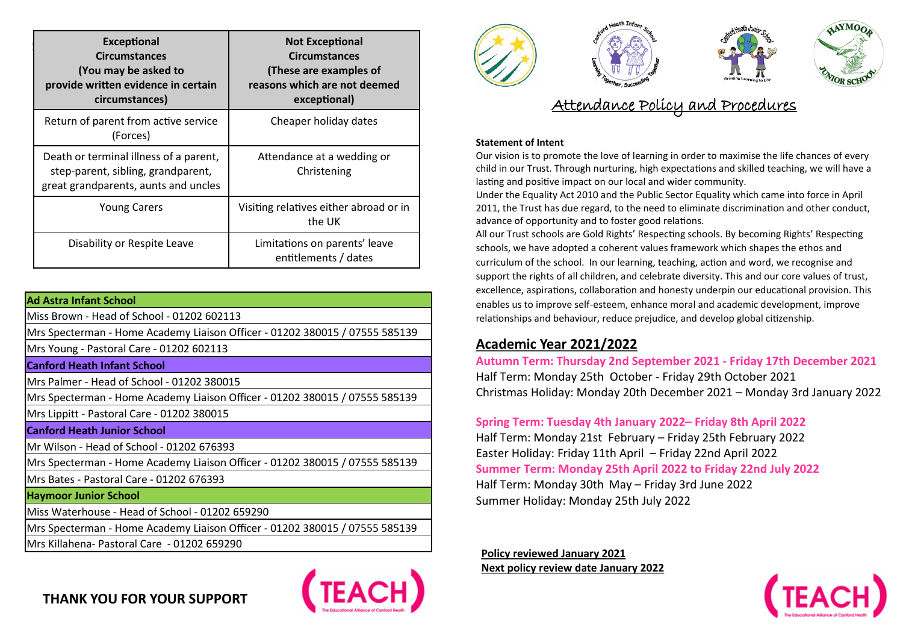| <b>Exceptional</b><br><b>Circumstances</b><br>(You may be asked to<br>provide written evidence in certain<br>circumstances) | <b>Not Exceptional</b><br><b>Circumstances</b><br>(These are examples of<br>reasons which are not deemed<br>exceptional) |
|-----------------------------------------------------------------------------------------------------------------------------|--------------------------------------------------------------------------------------------------------------------------|
| Return of parent from active service<br>(Forces)                                                                            | Cheaper holiday dates                                                                                                    |
| Death or terminal illness of a parent,<br>step-parent, sibling, grandparent,<br>great grandparents, aunts and uncles        | Attendance at a wedding or<br>Christening                                                                                |
| <b>Young Carers</b>                                                                                                         | Visiting relatives either abroad or in<br>the UK                                                                         |
| Disability or Respite Leave                                                                                                 | Limitations on parents' leave<br>entitlements / dates                                                                    |

| Ad Astra Infant School                                                      |
|-----------------------------------------------------------------------------|
| Miss Brown - Head of School - 01202 602113                                  |
| Mrs Specterman - Home Academy Liaison Officer - 01202 380015 / 07555 585139 |
| Mrs Young - Pastoral Care - 01202 602113                                    |
| <b>Canford Heath Infant School</b>                                          |
| Mrs Palmer - Head of School - 01202 380015                                  |
| Mrs Specterman - Home Academy Liaison Officer - 01202 380015 / 07555 585139 |
| Mrs Lippitt - Pastoral Care - 01202 380015                                  |
| <b>Canford Heath Junior School</b>                                          |
| Mr Wilson - Head of School - 01202 676393                                   |
| Mrs Specterman - Home Academy Liaison Officer - 01202 380015 / 07555 585139 |
| Mrs Bates - Pastoral Care - 01202 676393                                    |
|                                                                             |
| <b>Haymoor Junior School</b>                                                |
| Miss Waterhouse - Head of School - 01202 659290                             |
| Mrs Specterman - Home Academy Liaison Officer - 01202 380015 / 07555 585139 |
| Mrs Killahena- Pastoral Care - 01202 659290                                 |



# **Statement of Intent**

Our vision is to promote the love of learning in order to maximise the life chances of every child in our Trust. Through nurturing, high expectations and skilled teaching, we will have a lasting and positive impact on our local and wider community.

Under the Equality Act 2010 and the Public Sector Equality which came into force in April 2011, the Trust has due regard, to the need to eliminate discrimination and other conduct, advance of opportunity and to foster good relations.

All our Trust schools are Gold Rights' Respecting schools. By becoming Rights' Respecting schools, we have adopted a coherent values framework which shapes the ethos and curriculum of the school. In our learning, teaching, action and word, we recognise and support the rights of all children, and celebrate diversity. This and our core values of trust, excellence, aspirations, collaboration and honesty underpin our educational provision. This enables us to improve self-esteem, enhance moral and academic development, improve relationships and behaviour, reduce prejudice, and develop global citizenship.

# **Academic Year 2021/2022**

**Autumn Term: Thursday 2nd September 2021 - Friday 17th December 2021** Half Term: Monday 25th October - Friday 29th October 2021 Christmas Holiday: Monday 20th December 2021 – Monday 3rd January 2022

**Spring Term: Tuesday 4th January 2022– Friday 8th April 2022** Half Term: Monday 21st February – Friday 25th February 2022 Easter Holiday: Friday 11th April – Friday 22nd April 2022 **Summer Term: Monday 25th April 2022 to Friday 22nd July 2022** Half Term: Monday 30th May – Friday 3rd June 2022 Summer Holiday: Monday 25th July 2022

**Policy reviewed January 2021 Next policy review date January 2022**



**THANK YOU FOR YOUR SUPPORT**